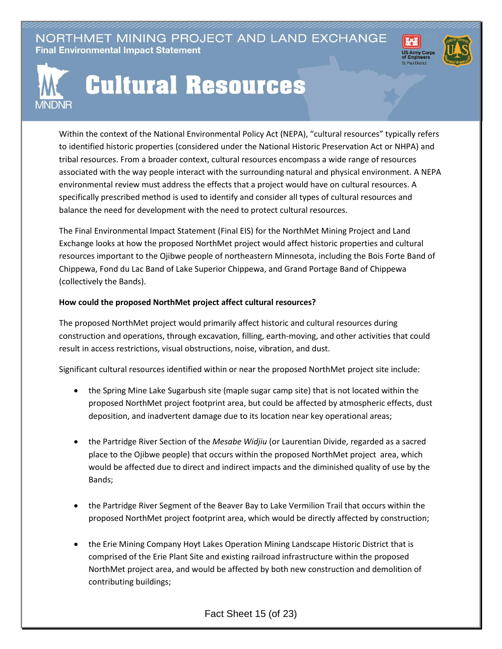NORTHMET MINING PROJECT AND LAND EXCHANGE **Final Environmental Impact Statement** 





## **Cultural Resources**

Within the context of the National Environmental Policy Act (NEPA), "cultural resources" typically refers to identified historic properties (considered under the National Historic Preservation Act or NHPA) and tribal resources. From a broader context, cultural resources encompass a wide range of resources associated with the way people interact with the surrounding natural and physical environment. A NEPA environmental review must address the effects that a project would have on cultural resources. A specifically prescribed method is used to identify and consider all types of cultural resources and balance the need for development with the need to protect cultural resources.

The Final Environmental Impact Statement (Final EIS) for the NorthMet Mining Project and Land Exchange looks at how the proposed NorthMet project would affect historic properties and cultural resources important to the Ojibwe people of northeastern Minnesota, including the Bois Forte Band of Chippewa, Fond du Lac Band of Lake Superior Chippewa, and Grand Portage Band of Chippewa (collectively the Bands).

## **How could the proposed NorthMet project affect cultural resources?**

The proposed NorthMet project would primarily affect historic and cultural resources during construction and operations, through excavation, filling, earth-moving, and other activities that could result in access restrictions, visual obstructions, noise, vibration, and dust.

Significant cultural resources identified within or near the proposed NorthMet project site include:

- the Spring Mine Lake Sugarbush site (maple sugar camp site) that is not located within the proposed NorthMet project footprint area, but could be affected by atmospheric effects, dust deposition, and inadvertent damage due to its location near key operational areas;
- the Partridge River Section of the *Mesabe Widjiu* (or Laurentian Divide, regarded as a sacred place to the Ojibwe people) that occurs within the proposed NorthMet project area, which would be affected due to direct and indirect impacts and the diminished quality of use by the Bands;
- the Partridge River Segment of the Beaver Bay to Lake Vermilion Trail that occurs within the proposed NorthMet project footprint area, which would be directly affected by construction;
- the Erie Mining Company Hoyt Lakes Operation Mining Landscape Historic District that is comprised of the Erie Plant Site and existing railroad infrastructure within the proposed NorthMet project area, and would be affected by both new construction and demolition of contributing buildings;

Fact Sheet 15 (of 23)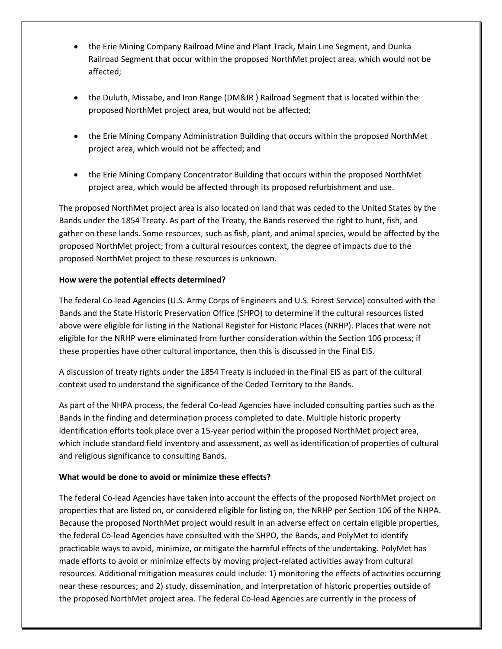- the Erie Mining Company Railroad Mine and Plant Track, Main Line Segment, and Dunka Railroad Segment that occur within the proposed NorthMet project area, which would not be affected;
- the Duluth, Missabe, and Iron Range (DM&IR ) Railroad Segment that is located within the proposed NorthMet project area, but would not be affected;
- the Erie Mining Company Administration Building that occurs within the proposed NorthMet project area, which would not be affected; and
- the Erie Mining Company Concentrator Building that occurs within the proposed NorthMet project area, which would be affected through its proposed refurbishment and use.

The proposed NorthMet project area is also located on land that was ceded to the United States by the Bands under the 1854 Treaty. As part of the Treaty, the Bands reserved the right to hunt, fish, and gather on these lands. Some resources, such as fish, plant, and animal species, would be affected by the proposed NorthMet project; from a cultural resources context, the degree of impacts due to the proposed NorthMet project to these resources is unknown.

## **How were the potential effects determined?**

The federal Co-lead Agencies (U.S. Army Corps of Engineers and U.S. Forest Service) consulted with the Bands and the State Historic Preservation Office (SHPO) to determine if the cultural resources listed above were eligible for listing in the National Register for Historic Places (NRHP). Places that were not eligible for the NRHP were eliminated from further consideration within the Section 106 process; if these properties have other cultural importance, then this is discussed in the Final EIS.

A discussion of treaty rights under the 1854 Treaty is included in the Final EIS as part of the cultural context used to understand the significance of the Ceded Territory to the Bands.

As part of the NHPA process, the federal Co-lead Agencies have included consulting parties such as the Bands in the finding and determination process completed to date. Multiple historic property identification efforts took place over a 15-year period within the proposed NorthMet project area, which include standard field inventory and assessment, as well as identification of properties of cultural and religious significance to consulting Bands.

## **What would be done to avoid or minimize these effects?**

The federal Co-lead Agencies have taken into account the effects of the proposed NorthMet project on properties that are listed on, or considered eligible for listing on, the NRHP per Section 106 of the NHPA. Because the proposed NorthMet project would result in an adverse effect on certain eligible properties, the federal Co-lead Agencies have consulted with the SHPO, the Bands, and PolyMet to identify practicable ways to avoid, minimize, or mitigate the harmful effects of the undertaking. PolyMet has made efforts to avoid or minimize effects by moving project-related activities away from cultural resources. Additional mitigation measures could include: 1) monitoring the effects of activities occurring near these resources; and 2) study, dissemination, and interpretation of historic properties outside of the proposed NorthMet project area. The federal Co-lead Agencies are currently in the process of